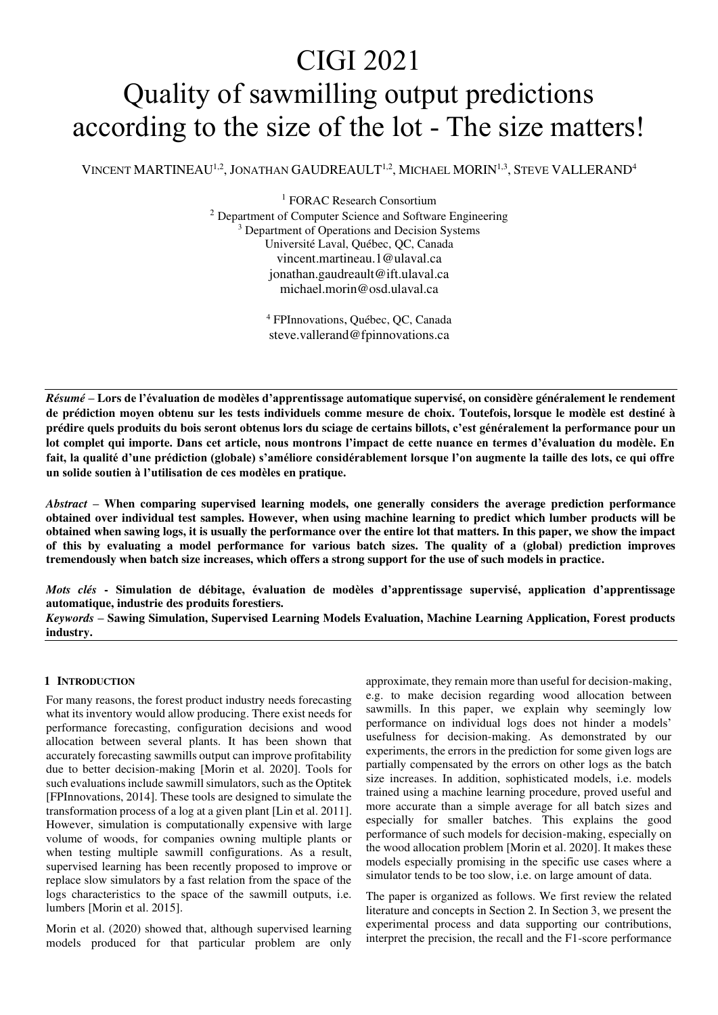# CIGI 2021 Quality of sawmilling output predictions according to the size of the lot - The size matters!

VINCENT MARTINEAU<sup>1,2</sup>, JONATHAN GAUDREAULT<sup>1,2</sup>, MICHAEL MORIN<sup>1,3</sup>, STEVE VALLERAND<sup>4</sup>

<sup>1</sup> FORAC Research Consortium <sup>2</sup> Department of Computer Science and Software Engineering <sup>3</sup> Department of Operations and Decision Systems Université Laval, Québec, QC, Canada vincent.martineau.1@ulaval.ca jonathan.gaudreault@ift.ulaval.ca michael.morin@osd.ulaval.ca

> 4 FPInnovations, Québec, QC, Canada steve.vallerand@fpinnovations.ca

*Résumé* **– Lors de l'évaluation de modèles d'apprentissage automatique supervisé, on considère généralement le rendement de prédiction moyen obtenu sur les tests individuels comme mesure de choix. Toutefois, lorsque le modèle est destiné à prédire quels produits du bois seront obtenus lors du sciage de certains billots, c'est généralement la performance pour un lot complet qui importe. Dans cet article, nous montrons l'impact de cette nuance en termes d'évaluation du modèle. En fait, la qualité d'une prédiction (globale) s'améliore considérablement lorsque l'on augmente la taille des lots, ce qui offre un solide soutien à l'utilisation de ces modèles en pratique.** 

*Abstract* **– When comparing supervised learning models, one generally considers the average prediction performance obtained over individual test samples. However, when using machine learning to predict which lumber products will be obtained when sawing logs, it is usually the performance over the entire lot that matters. In this paper, we show the impact of this by evaluating a model performance for various batch sizes. The quality of a (global) prediction improves tremendously when batch size increases, which offers a strong support for the use of such models in practice.** 

*Mots clés* **- Simulation de débitage, évaluation de modèles d'apprentissage supervisé, application d'apprentissage automatique, industrie des produits forestiers.** 

*Keywords* **– Sawing Simulation, Supervised Learning Models Evaluation, Machine Learning Application, Forest products industry.** 

## **1 INTRODUCTION**

For many reasons, the forest product industry needs forecasting what its inventory would allow producing. There exist needs for performance forecasting, configuration decisions and wood allocation between several plants. It has been shown that accurately forecasting sawmills output can improve profitability due to better decision-making [Morin et al. 2020]. Tools for such evaluations include sawmill simulators, such as the Optitek [FPInnovations, 2014]. These tools are designed to simulate the transformation process of a log at a given plant [Lin et al. 2011]. However, simulation is computationally expensive with large volume of woods, for companies owning multiple plants or when testing multiple sawmill configurations. As a result, supervised learning has been recently proposed to improve or replace slow simulators by a fast relation from the space of the logs characteristics to the space of the sawmill outputs, i.e. lumbers [Morin et al. 2015].

Morin et al. (2020) showed that, although supervised learning models produced for that particular problem are only

approximate, they remain more than useful for decision-making, e.g. to make decision regarding wood allocation between sawmills. In this paper, we explain why seemingly low performance on individual logs does not hinder a models' usefulness for decision-making. As demonstrated by our experiments, the errors in the prediction for some given logs are partially compensated by the errors on other logs as the batch size increases. In addition, sophisticated models, i.e. models trained using a machine learning procedure, proved useful and more accurate than a simple average for all batch sizes and especially for smaller batches. This explains the good performance of such models for decision-making, especially on the wood allocation problem [Morin et al. 2020]. It makes these models especially promising in the specific use cases where a simulator tends to be too slow, i.e. on large amount of data.

The paper is organized as follows. We first review the related literature and concepts in Section 2. In Section 3, we present the experimental process and data supporting our contributions, interpret the precision, the recall and the F1-score performance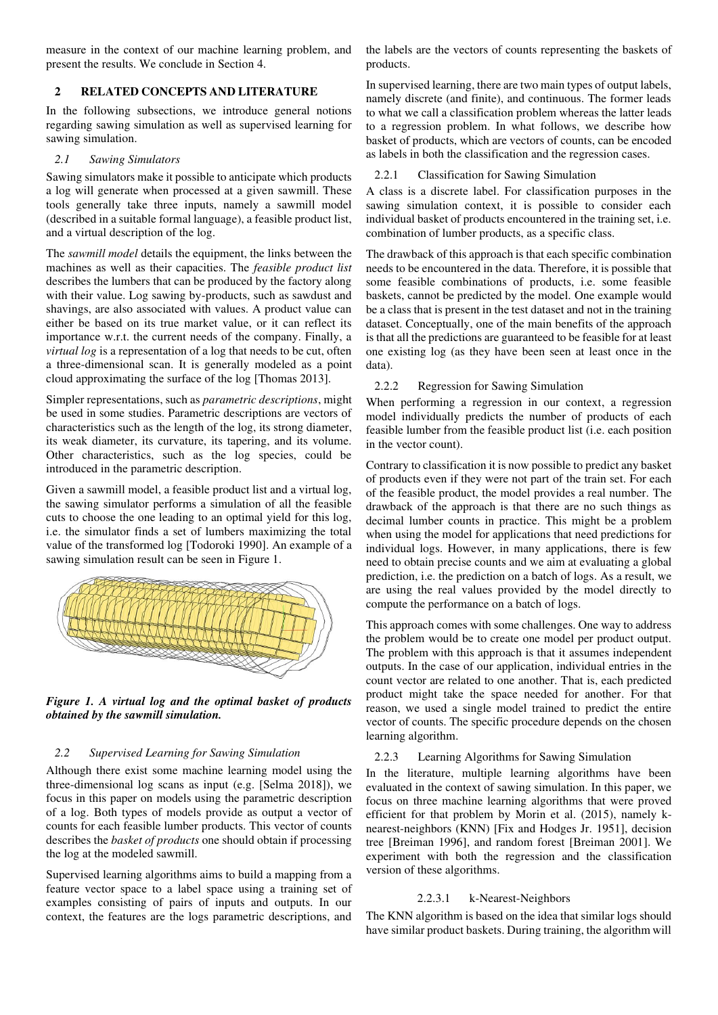measure in the context of our machine learning problem, and present the results. We conclude in Section 4.

# **2 RELATED CONCEPTS AND LITERATURE**

In the following subsections, we introduce general notions regarding sawing simulation as well as supervised learning for sawing simulation.

#### *2.1 Sawing Simulators*

Sawing simulators make it possible to anticipate which products a log will generate when processed at a given sawmill. These tools generally take three inputs, namely a sawmill model (described in a suitable formal language), a feasible product list, and a virtual description of the log.

The *sawmill model* details the equipment, the links between the machines as well as their capacities. The *feasible product list* describes the lumbers that can be produced by the factory along with their value. Log sawing by-products, such as sawdust and shavings, are also associated with values. A product value can either be based on its true market value, or it can reflect its importance w.r.t. the current needs of the company. Finally, a *virtual log* is a representation of a log that needs to be cut, often a three-dimensional scan. It is generally modeled as a point cloud approximating the surface of the log [Thomas 2013].

Simpler representations, such as *parametric descriptions*, might be used in some studies. Parametric descriptions are vectors of characteristics such as the length of the log, its strong diameter, its weak diameter, its curvature, its tapering, and its volume. Other characteristics, such as the log species, could be introduced in the parametric description.

Given a sawmill model, a feasible product list and a virtual log, the sawing simulator performs a simulation of all the feasible cuts to choose the one leading to an optimal yield for this log, i.e. the simulator finds a set of lumbers maximizing the total value of the transformed log [Todoroki 1990]. An example of a sawing simulation result can be seen in Figure 1.



*Figure 1. A virtual log and the optimal basket of products obtained by the sawmill simulation.* 

#### *2.2 Supervised Learning for Sawing Simulation*

Although there exist some machine learning model using the three-dimensional log scans as input (e.g. [Selma 2018]), we focus in this paper on models using the parametric description of a log. Both types of models provide as output a vector of counts for each feasible lumber products. This vector of counts describes the *basket of products* one should obtain if processing the log at the modeled sawmill.

Supervised learning algorithms aims to build a mapping from a feature vector space to a label space using a training set of examples consisting of pairs of inputs and outputs. In our context, the features are the logs parametric descriptions, and the labels are the vectors of counts representing the baskets of products.

In supervised learning, there are two main types of output labels, namely discrete (and finite), and continuous. The former leads to what we call a classification problem whereas the latter leads to a regression problem. In what follows, we describe how basket of products, which are vectors of counts, can be encoded as labels in both the classification and the regression cases.

## 2.2.1 Classification for Sawing Simulation

A class is a discrete label. For classification purposes in the sawing simulation context, it is possible to consider each individual basket of products encountered in the training set, i.e. combination of lumber products, as a specific class.

The drawback of this approach is that each specific combination needs to be encountered in the data. Therefore, it is possible that some feasible combinations of products, i.e. some feasible baskets, cannot be predicted by the model. One example would be a class that is present in the test dataset and not in the training dataset. Conceptually, one of the main benefits of the approach is that all the predictions are guaranteed to be feasible for at least one existing log (as they have been seen at least once in the data).

### 2.2.2 Regression for Sawing Simulation

When performing a regression in our context, a regression model individually predicts the number of products of each feasible lumber from the feasible product list (i.e. each position in the vector count).

Contrary to classification it is now possible to predict any basket of products even if they were not part of the train set. For each of the feasible product, the model provides a real number. The drawback of the approach is that there are no such things as decimal lumber counts in practice. This might be a problem when using the model for applications that need predictions for individual logs. However, in many applications, there is few need to obtain precise counts and we aim at evaluating a global prediction, i.e. the prediction on a batch of logs. As a result, we are using the real values provided by the model directly to compute the performance on a batch of logs.

This approach comes with some challenges. One way to address the problem would be to create one model per product output. The problem with this approach is that it assumes independent outputs. In the case of our application, individual entries in the count vector are related to one another. That is, each predicted product might take the space needed for another. For that reason, we used a single model trained to predict the entire vector of counts. The specific procedure depends on the chosen learning algorithm.

# 2.2.3 Learning Algorithms for Sawing Simulation

In the literature, multiple learning algorithms have been evaluated in the context of sawing simulation. In this paper, we focus on three machine learning algorithms that were proved efficient for that problem by Morin et al. (2015), namely knearest-neighbors (KNN) [Fix and Hodges Jr. 1951], decision tree [Breiman 1996], and random forest [Breiman 2001]. We experiment with both the regression and the classification version of these algorithms.

# 2.2.3.1 k-Nearest-Neighbors

The KNN algorithm is based on the idea that similar logs should have similar product baskets. During training, the algorithm will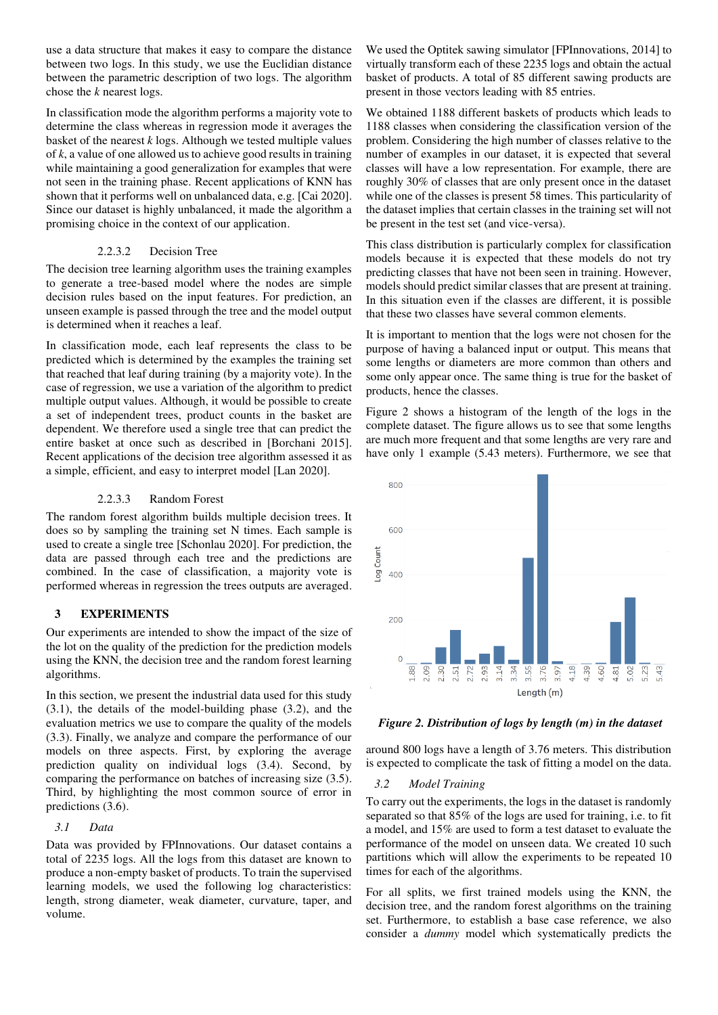use a data structure that makes it easy to compare the distance between two logs. In this study, we use the Euclidian distance between the parametric description of two logs. The algorithm chose the *k* nearest logs.

In classification mode the algorithm performs a majority vote to determine the class whereas in regression mode it averages the basket of the nearest *k* logs. Although we tested multiple values of *k*, a value of one allowed us to achieve good results in training while maintaining a good generalization for examples that were not seen in the training phase. Recent applications of KNN has shown that it performs well on unbalanced data, e.g. [Cai 2020]. Since our dataset is highly unbalanced, it made the algorithm a promising choice in the context of our application.

# 2.2.3.2 Decision Tree

The decision tree learning algorithm uses the training examples to generate a tree-based model where the nodes are simple decision rules based on the input features. For prediction, an unseen example is passed through the tree and the model output is determined when it reaches a leaf.

In classification mode, each leaf represents the class to be predicted which is determined by the examples the training set that reached that leaf during training (by a majority vote). In the case of regression, we use a variation of the algorithm to predict multiple output values. Although, it would be possible to create a set of independent trees, product counts in the basket are dependent. We therefore used a single tree that can predict the entire basket at once such as described in [Borchani 2015]. Recent applications of the decision tree algorithm assessed it as a simple, efficient, and easy to interpret model [Lan 2020].

# 2.2.3.3 Random Forest

The random forest algorithm builds multiple decision trees. It does so by sampling the training set N times. Each sample is used to create a single tree [Schonlau 2020]. For prediction, the data are passed through each tree and the predictions are combined. In the case of classification, a majority vote is performed whereas in regression the trees outputs are averaged.

# **3 EXPERIMENTS**

Our experiments are intended to show the impact of the size of the lot on the quality of the prediction for the prediction models using the KNN, the decision tree and the random forest learning algorithms.

In this section, we present the industrial data used for this study (3.1), the details of the model-building phase (3.2), and the evaluation metrics we use to compare the quality of the models (3.3). Finally, we analyze and compare the performance of our models on three aspects. First, by exploring the average prediction quality on individual logs (3.4). Second, by comparing the performance on batches of increasing size (3.5). Third, by highlighting the most common source of error in predictions  $(3.6)$ .

# *3.1 Data*

Data was provided by FPInnovations. Our dataset contains a total of 2235 logs. All the logs from this dataset are known to produce a non-empty basket of products. To train the supervised learning models, we used the following log characteristics: length, strong diameter, weak diameter, curvature, taper, and volume.

We used the Optitek sawing simulator [FPInnovations, 2014] to virtually transform each of these 2235 logs and obtain the actual basket of products. A total of 85 different sawing products are present in those vectors leading with 85 entries.

We obtained 1188 different baskets of products which leads to 1188 classes when considering the classification version of the problem. Considering the high number of classes relative to the number of examples in our dataset, it is expected that several classes will have a low representation. For example, there are roughly 30% of classes that are only present once in the dataset while one of the classes is present 58 times. This particularity of the dataset implies that certain classes in the training set will not be present in the test set (and vice-versa).

This class distribution is particularly complex for classification models because it is expected that these models do not try predicting classes that have not been seen in training. However, models should predict similar classes that are present at training. In this situation even if the classes are different, it is possible that these two classes have several common elements.

It is important to mention that the logs were not chosen for the purpose of having a balanced input or output. This means that some lengths or diameters are more common than others and some only appear once. The same thing is true for the basket of products, hence the classes.

Figure 2 shows a histogram of the length of the logs in the complete dataset. The figure allows us to see that some lengths are much more frequent and that some lengths are very rare and have only 1 example (5.43 meters). Furthermore, we see that



*Figure 2. Distribution of logs by length (m) in the dataset* 

around 800 logs have a length of 3.76 meters. This distribution is expected to complicate the task of fitting a model on the data.

# *3.2 Model Training*

To carry out the experiments, the logs in the dataset is randomly separated so that 85% of the logs are used for training, i.e. to fit a model, and 15% are used to form a test dataset to evaluate the performance of the model on unseen data. We created 10 such partitions which will allow the experiments to be repeated 10 times for each of the algorithms.

For all splits, we first trained models using the KNN, the decision tree, and the random forest algorithms on the training set. Furthermore, to establish a base case reference, we also consider a *dummy* model which systematically predicts the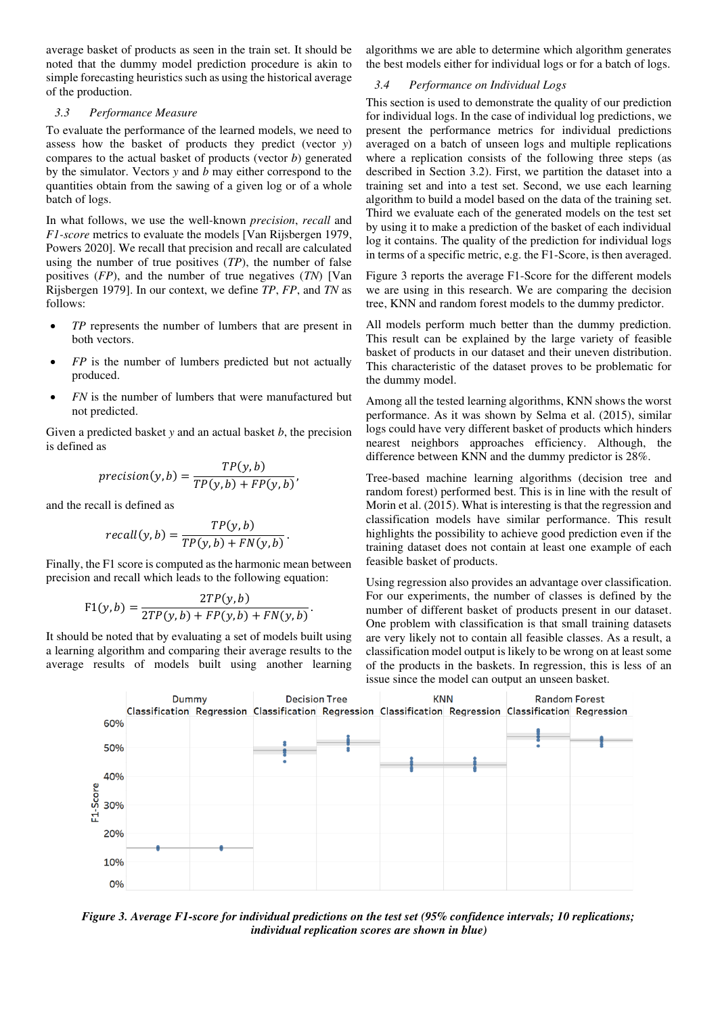average basket of products as seen in the train set. It should be noted that the dummy model prediction procedure is akin to simple forecasting heuristics such as using the historical average of the production.

#### *3.3 Performance Measure*

To evaluate the performance of the learned models, we need to assess how the basket of products they predict (vector *y*) compares to the actual basket of products (vector *b*) generated by the simulator. Vectors *y* and *b* may either correspond to the quantities obtain from the sawing of a given log or of a whole batch of logs.

In what follows, we use the well-known *precision*, *recall* and *F1-score* metrics to evaluate the models [Van Rijsbergen 1979, Powers 2020]. We recall that precision and recall are calculated using the number of true positives (*TP*), the number of false positives (*FP*), and the number of true negatives (*TN*) [Van Rijsbergen 1979]. In our context, we define *TP*, *FP*, and *TN* as follows:

- *TP* represents the number of lumbers that are present in both vectors.
- *FP* is the number of lumbers predicted but not actually produced.
- *FN* is the number of lumbers that were manufactured but not predicted.

Given a predicted basket *y* and an actual basket *b*, the precision is defined as

$$
precision(y, b) = \frac{TP(y, b)}{TP(y, b) + FP(y, b)},
$$

and the recall is defined as

$$
recall(y, b) = \frac{TP(y, b)}{TP(y, b) + FN(y, b)}.
$$

Finally, the F1 score is computed as the harmonic mean between precision and recall which leads to the following equation:

$$
F1(y,b) = \frac{2TP(y,b)}{2TP(y,b) + FP(y,b) + FN(y,b)}.
$$

It should be noted that by evaluating a set of models built using a learning algorithm and comparing their average results to the average results of models built using another learning algorithms we are able to determine which algorithm generates the best models either for individual logs or for a batch of logs.

#### *3.4 Performance on Individual Logs*

This section is used to demonstrate the quality of our prediction for individual logs. In the case of individual log predictions, we present the performance metrics for individual predictions averaged on a batch of unseen logs and multiple replications where a replication consists of the following three steps (as described in Section 3.2). First, we partition the dataset into a training set and into a test set. Second, we use each learning algorithm to build a model based on the data of the training set. Third we evaluate each of the generated models on the test set by using it to make a prediction of the basket of each individual log it contains. The quality of the prediction for individual logs in terms of a specific metric, e.g. the F1-Score, is then averaged.

Figure 3 reports the average F1-Score for the different models we are using in this research. We are comparing the decision tree, KNN and random forest models to the dummy predictor.

All models perform much better than the dummy prediction. This result can be explained by the large variety of feasible basket of products in our dataset and their uneven distribution. This characteristic of the dataset proves to be problematic for the dummy model.

Among all the tested learning algorithms, KNN shows the worst performance. As it was shown by Selma et al. (2015), similar logs could have very different basket of products which hinders nearest neighbors approaches efficiency. Although, the difference between KNN and the dummy predictor is 28%.

Tree-based machine learning algorithms (decision tree and random forest) performed best. This is in line with the result of Morin et al. (2015). What is interesting is that the regression and classification models have similar performance. This result highlights the possibility to achieve good prediction even if the training dataset does not contain at least one example of each feasible basket of products.

Using regression also provides an advantage over classification. For our experiments, the number of classes is defined by the number of different basket of products present in our dataset. One problem with classification is that small training datasets are very likely not to contain all feasible classes. As a result, a classification model output is likely to be wrong on at least some of the products in the baskets. In regression, this is less of an issue since the model can output an unseen basket.



*Figure 3. Average F1-score for individual predictions on the test set (95% confidence intervals; 10 replications; individual replication scores are shown in blue)*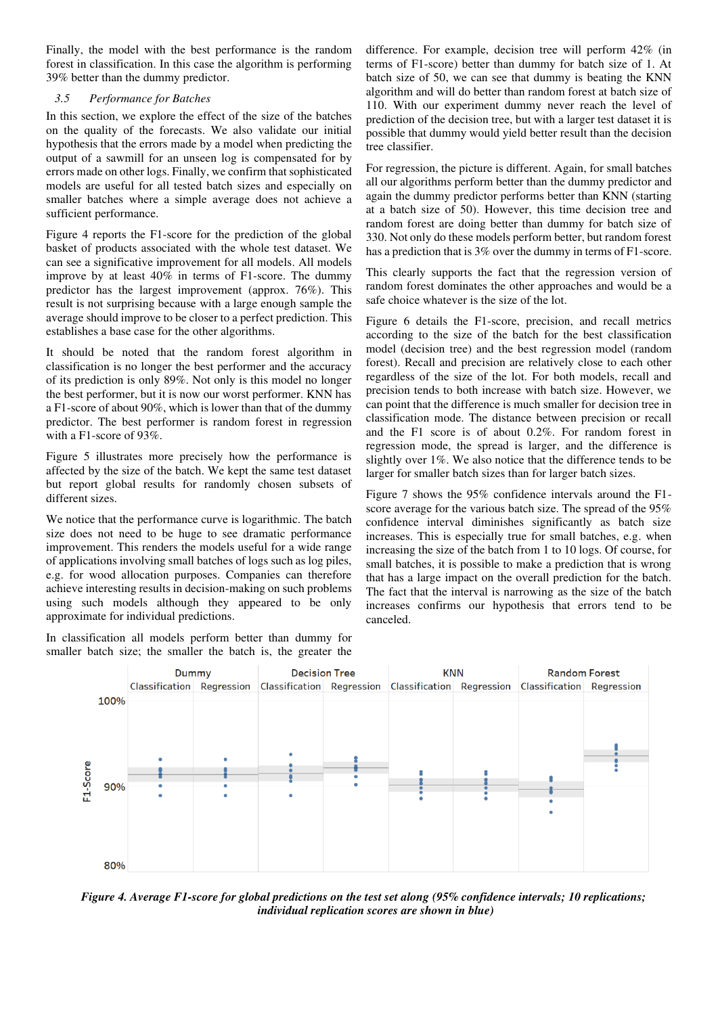Finally, the model with the best performance is the random forest in classification. In this case the algorithm is performing 39% better than the dummy predictor.

### *3.5 Performance for Batches*

In this section, we explore the effect of the size of the batches on the quality of the forecasts. We also validate our initial hypothesis that the errors made by a model when predicting the output of a sawmill for an unseen log is compensated for by errors made on other logs. Finally, we confirm that sophisticated models are useful for all tested batch sizes and especially on smaller batches where a simple average does not achieve a sufficient performance.

Figure 4 reports the F1-score for the prediction of the global basket of products associated with the whole test dataset. We can see a significative improvement for all models. All models improve by at least 40% in terms of F1-score. The dummy predictor has the largest improvement (approx. 76%). This result is not surprising because with a large enough sample the average should improve to be closer to a perfect prediction. This establishes a base case for the other algorithms.

It should be noted that the random forest algorithm in classification is no longer the best performer and the accuracy of its prediction is only 89%. Not only is this model no longer the best performer, but it is now our worst performer. KNN has a F1-score of about 90%, which is lower than that of the dummy predictor. The best performer is random forest in regression with a F1-score of 93%.

Figure 5 illustrates more precisely how the performance is affected by the size of the batch. We kept the same test dataset but report global results for randomly chosen subsets of different sizes.

We notice that the performance curve is logarithmic. The batch size does not need to be huge to see dramatic performance improvement. This renders the models useful for a wide range of applications involving small batches of logs such as log piles, e.g. for wood allocation purposes. Companies can therefore achieve interesting results in decision-making on such problems using such models although they appeared to be only approximate for individual predictions.

In classification all models perform better than dummy for smaller batch size; the smaller the batch is, the greater the difference. For example, decision tree will perform 42% (in terms of F1-score) better than dummy for batch size of 1. At batch size of 50, we can see that dummy is beating the KNN algorithm and will do better than random forest at batch size of 110. With our experiment dummy never reach the level of prediction of the decision tree, but with a larger test dataset it is possible that dummy would yield better result than the decision tree classifier.

For regression, the picture is different. Again, for small batches all our algorithms perform better than the dummy predictor and again the dummy predictor performs better than KNN (starting at a batch size of 50). However, this time decision tree and random forest are doing better than dummy for batch size of 330. Not only do these models perform better, but random forest has a prediction that is 3% over the dummy in terms of F1-score.

This clearly supports the fact that the regression version of random forest dominates the other approaches and would be a safe choice whatever is the size of the lot.

Figure 6 details the F1-score, precision, and recall metrics according to the size of the batch for the best classification model (decision tree) and the best regression model (random forest). Recall and precision are relatively close to each other regardless of the size of the lot. For both models, recall and precision tends to both increase with batch size. However, we can point that the difference is much smaller for decision tree in classification mode. The distance between precision or recall and the F1 score is of about 0.2%. For random forest in regression mode, the spread is larger, and the difference is slightly over 1%. We also notice that the difference tends to be larger for smaller batch sizes than for larger batch sizes.

Figure 7 shows the 95% confidence intervals around the F1 score average for the various batch size. The spread of the 95% confidence interval diminishes significantly as batch size increases. This is especially true for small batches, e.g. when increasing the size of the batch from 1 to 10 logs. Of course, for small batches, it is possible to make a prediction that is wrong that has a large impact on the overall prediction for the batch. The fact that the interval is narrowing as the size of the batch increases confirms our hypothesis that errors tend to be canceled.



*Figure 4. Average F1-score for global predictions on the test set along (95% confidence intervals; 10 replications; individual replication scores are shown in blue)*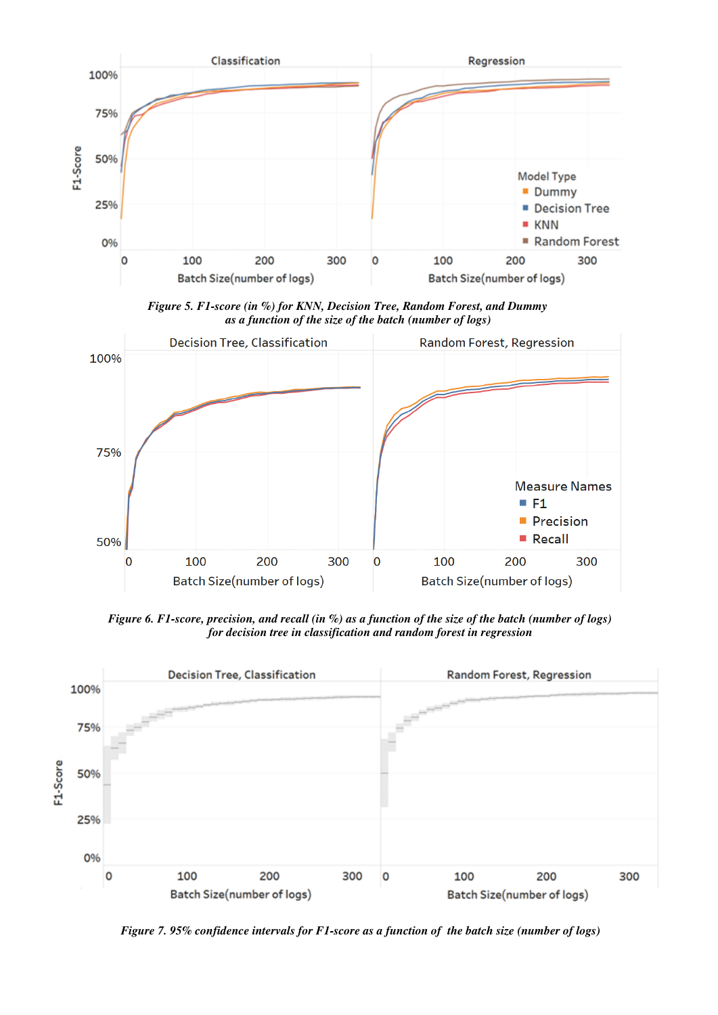

*Figure 5. F1-score (in %) for KNN, Decision Tree, Random Forest, and Dummy as a function of the size of the batch (number of logs)* 



*Figure 6. F1-score, precision, and recall (in %) as a function of the size of the batch (number of logs) for decision tree in classification and random forest in regression* 



*Figure 7. 95% confidence intervals for F1-score as a function of the batch size (number of logs)*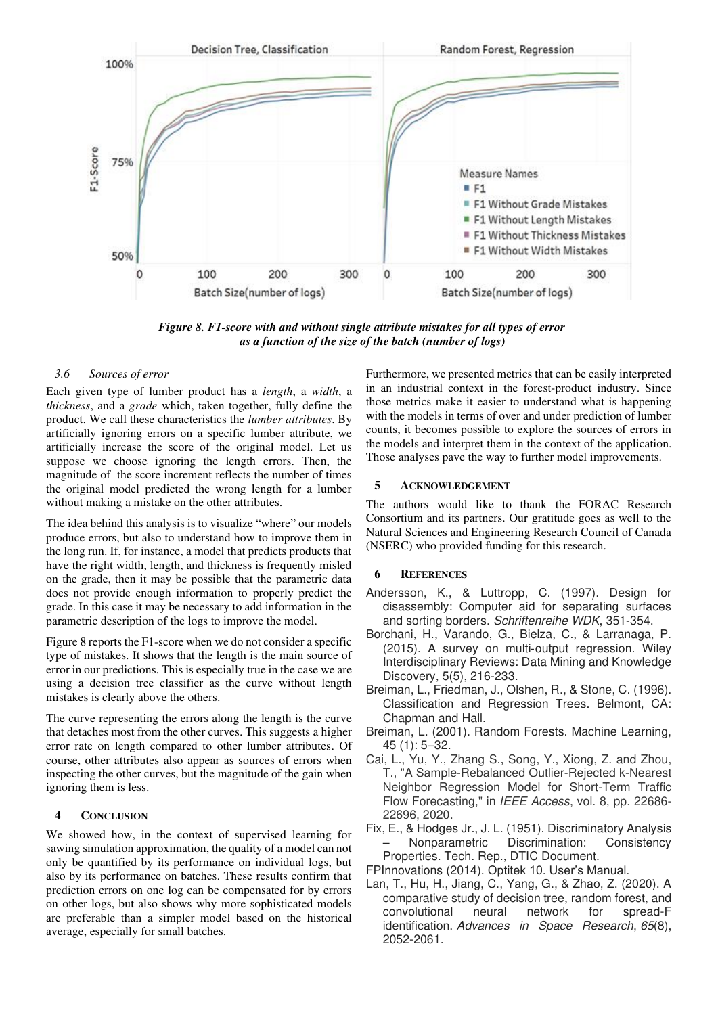

*Figure 8. F1-score with and without single attribute mistakes for all types of error as a function of the size of the batch (number of logs)* 

#### *3.6 Sources of error*

Each given type of lumber product has a *length*, a *width*, a *thickness*, and a *grade* which, taken together, fully define the product. We call these characteristics the *lumber attributes*. By artificially ignoring errors on a specific lumber attribute, we artificially increase the score of the original model. Let us suppose we choose ignoring the length errors. Then, the magnitude of the score increment reflects the number of times the original model predicted the wrong length for a lumber without making a mistake on the other attributes.

The idea behind this analysis is to visualize "where" our models produce errors, but also to understand how to improve them in the long run. If, for instance, a model that predicts products that have the right width, length, and thickness is frequently misled on the grade, then it may be possible that the parametric data does not provide enough information to properly predict the grade. In this case it may be necessary to add information in the parametric description of the logs to improve the model.

Figure 8 reports the F1-score when we do not consider a specific type of mistakes. It shows that the length is the main source of error in our predictions. This is especially true in the case we are using a decision tree classifier as the curve without length mistakes is clearly above the others.

The curve representing the errors along the length is the curve that detaches most from the other curves. This suggests a higher error rate on length compared to other lumber attributes. Of course, other attributes also appear as sources of errors when inspecting the other curves, but the magnitude of the gain when ignoring them is less.

#### **4 CONCLUSION**

We showed how, in the context of supervised learning for sawing simulation approximation, the quality of a model can not only be quantified by its performance on individual logs, but also by its performance on batches. These results confirm that prediction errors on one log can be compensated for by errors on other logs, but also shows why more sophisticated models are preferable than a simpler model based on the historical average, especially for small batches.

Furthermore, we presented metrics that can be easily interpreted in an industrial context in the forest-product industry. Since those metrics make it easier to understand what is happening with the models in terms of over and under prediction of lumber counts, it becomes possible to explore the sources of errors in the models and interpret them in the context of the application. Those analyses pave the way to further model improvements.

## **5 ACKNOWLEDGEMENT**

The authors would like to thank the FORAC Research Consortium and its partners. Our gratitude goes as well to the Natural Sciences and Engineering Research Council of Canada (NSERC) who provided funding for this research.

#### **6 REFERENCES**

- Andersson, K., & Luttropp, C. (1997). Design for disassembly: Computer aid for separating surfaces and sorting borders. *Schriftenreihe WDK*, 351-354.
- Borchani, H., Varando, G., Bielza, C., & Larranaga, P. (2015). A survey on multi‐output regression. Wiley Interdisciplinary Reviews: Data Mining and Knowledge Discovery, 5(5), 216-233.
- Breiman, L., Friedman, J., Olshen, R., & Stone, C. (1996). Classification and Regression Trees. Belmont, CA: Chapman and Hall.
- Breiman, L. (2001). Random Forests. Machine Learning, 45 (1): 5–32.
- Cai, L., Yu, Y., Zhang S., Song, Y., Xiong, Z. and Zhou, T., "A Sample-Rebalanced Outlier-Rejected k-Nearest Neighbor Regression Model for Short-Term Traffic Flow Forecasting," in *IEEE Access*, vol. 8, pp. 22686- 22696, 2020.
- Fix, E., & Hodges Jr., J. L. (1951). Discriminatory Analysis – Nonparametric Discrimination: Consistency Properties. Tech. Rep., DTIC Document.
- FPInnovations (2014). Optitek 10. User's Manual.
- Lan, T., Hu, H., Jiang, C., Yang, G., & Zhao, Z. (2020). A comparative study of decision tree, random forest, and convolutional neural network for spread-F identification. *Advances in Space Research*, *65*(8), 2052-2061.